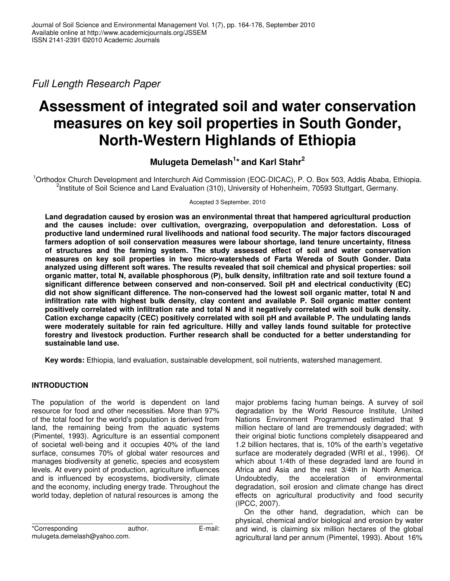*Full Length Research Paper*

# **Assessment of integrated soil and water conservation measures on key soil properties in South Gonder, North-Western Highlands of Ethiopia**

## **Mulugeta Demelash 1 \* and Karl Stahr 2**

<sup>1</sup>Orthodox Church Development and Interchurch Aid Commission (EOC-DICAC), P. O. Box 503, Addis Ababa, Ethiopia. <sup>2</sup>Institute of Soil Science and Land Evaluation (310), University of Hohenheim, 70593 Stuttgart, Germany.

Accepted 3 September, 2010

**Land degradation caused by erosion was an environmental threat that hampered agricultural production and the causes include: over cultivation, overgrazing, overpopulation and deforestation. Loss of productive land undermined rural livelihoods and national food security. The major factors discouraged farmers adoption of soil conservation measures were labour shortage, land tenure uncertainty, fitness of structures and the farming system. The study assessed effect of soil and water conservation measures on key soil properties in two micro-watersheds of Farta Wereda of South Gonder. Data analyzed using different soft wares. The results revealed that soil chemical and physical properties: soil organic matter, total N, available phosphorous (P), bulk density, infiltration rate and soil texture found a significant difference between conserved and non-conserved. Soil pH and electrical conductivity (EC) did not show significant difference. The non-conserved had the lowest soil organic matter, total N and infiltration rate with highest bulk density, clay content and available P. Soil organic matter content positively correlated with infiltration rate and total N and it negatively correlated with soil bulk density. Cation exchange capacity (CEC) positively correlated with soil pH and available P. The undulating lands were moderately suitable for rain fed agriculture. Hilly and valley lands found suitable for protective forestry and livestock production. Further research shall be conducted for a better understanding for sustainable land use.**

**Key words:** Ethiopia, land evaluation, sustainable development, soil nutrients, watershed management.

## **INTRODUCTION**

The population of the world is dependent on land resource for food and other necessities. More than 97% of the total food for the world's population is derived from land, the remaining being from the aquatic systems (Pimentel, 1993). Agriculture is an essential component of societal well-being and it occupies 40% of the land surface, consumes 70% of global water resources and manages biodiversity at genetic, species and ecosystem levels. At every point of production, agriculture influences and is influenced by ecosystems, biodiversity, climate and the economy, including energy trade. Throughout the world today, depletion of natural resources is among the

\*Corresponding author. E-mail: mulugeta.demelash@yahoo.com.

major problems facing human beings. A survey of soil degradation by the World Resource Institute, United Nations Environment Programmed estimated that 9 million hectare of land are tremendously degraded; with their original biotic functions completely disappeared and 1.2 billion hectares, that is, 10% of the earth's vegetative surface are moderately degraded (WRI et al., 1996). Of which about 1/4th of these degraded land are found in Africa and Asia and the rest 3/4th in North America. Undoubtedly, the acceleration of environmental degradation, soil erosion and climate change has direct effects on agricultural productivity and food security (IPCC, 2007).

On the other hand, degradation, which can be physical, chemical and/or biological and erosion by water and wind, is claiming six million hectares of the global agricultural land per annum (Pimentel, 1993). About 16%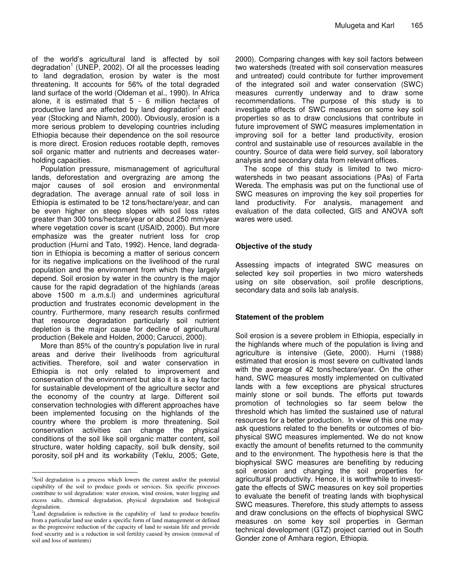of the world's agricultural land is affected by soil degradation<sup>1</sup> (UNEP, 2002). Of all the processes leading to land degradation, erosion by water is the most threatening. It accounts for 56% of the total degraded land surface of the world (Oldeman et al., 1990). In Africa alone, it is estimated that 5 - 6 million hectares of productive land are affected by land degradation<sup>2</sup> each year (Stocking and Niamh, 2000). Obviously, erosion is a more serious problem to developing countries including Ethiopia because their dependence on the soil resource is more direct. Erosion reduces rootable depth, removes soil organic matter and nutrients and decreases waterholding capacities.

Population pressure, mismanagement of agricultural lands, deforestation and overgrazing are among the major causes of soil erosion and environmental degradation. The average annual rate of soil loss in Ethiopia is estimated to be 12 tons/hectare/year, and can be even higher on steep slopes with soil loss rates greater than 300 tons/hectare/year or about 250 mm/year where vegetation cover is scant (USAID, 2000). But more emphasize was the greater nutrient loss for crop production (Hurni and Tato, 1992). Hence, land degradation in Ethiopia is becoming a matter of serious concern for its negative implications on the livelihood of the rural population and the environment from which they largely depend. Soil erosion by water in the country is the major cause for the rapid degradation of the highlands (areas above 1500 m a.m.s.l) and undermines agricultural production and frustrates economic development in the country. Furthermore, many research results confirmed that resource degradation particularly soil nutrient depletion is the major cause for decline of agricultural production (Bekele and Holden, 2000; Carucci, 2000).

More than 85% of the country's population live in rural areas and derive their livelihoods from agricultural activities. Therefore, soil and water conservation in Ethiopia is not only related to improvement and conservation of the environment but also it is a key factor for sustainable development of the agriculture sector and the economy of the country at large. Different soil conservation technologies with different approaches have been implemented focusing on the highlands of the country where the problem is more threatening. Soil conservation activities can change the physical conditions of the soil like soil organic matter content, soil structure, water holding capacity, soil bulk density, soil porosity, soil pH and its workability (Teklu, 2005; Gete,

2000). Comparing changes with key soil factors between two watersheds (treated with soil conservation measures and untreated) could contribute for further improvement of the integrated soil and water conservation (SWC) measures currently underway and to draw some recommendations. The purpose of this study is to investigate effects of SWC measures on some key soil properties so as to draw conclusions that contribute in future improvement of SWC measures implementation in improving soil for a better land productivity, erosion control and sustainable use of resources available in the country. Source of data were field survey, soil laboratory analysis and secondary data from relevant offices.

The scope of this study is limited to two microwatersheds in two peasant associations (PAs) of Farta Wereda. The emphasis was put on the functional use of SWC measures on improving the key soil properties for land productivity. For analysis, management and evaluation of the data collected, GIS and ANOVA soft wares were used.

## **Objective of the study**

Assessing impacts of integrated SWC measures on selected key soil properties in two micro watersheds using on site observation, soil profile descriptions, secondary data and soils lab analysis.

## **Statement of the problem**

Soil erosion is a severe problem in Ethiopia, especially in the highlands where much of the population is living and agriculture is intensive (Gete, 2000). Hurni (1988) estimated that erosion is most severe on cultivated lands with the average of 42 tons/hectare/year. On the other hand, SWC measures mostly implemented on cultivated lands with a few exceptions are physical structures mainly stone or soil bunds. The efforts put towards promotion of technologies so far seem below the threshold which has limited the sustained use of natural resources for a better production. In view of this one may ask questions related to the benefits or outcomes of biophysical SWC measures implemented. We do not know exactly the amount of benefits returned to the community and to the environment. The hypothesis here is that the biophysical SWC measures are benefiting by reducing soil erosion and changing the soil properties for agricultural productivity. Hence, it is worthwhile to investigate the effects of SWC measures on key soil properties to evaluate the benefit of treating lands with biophysical SWC measures. Therefore, this study attempts to assess and draw conclusions on the effects of biophysical SWC measures on some key soil properties in German technical development (GTZ) project carried out in South Gonder zone of Amhara region, Ethiopia.

<sup>&</sup>lt;sup>1</sup>Soil degradation is a process which lowers the current and/or the potential capability of the soil to produce goods or services. Six specific processes contribute to soil degradation: water erosion, wind erosion, water logging and excess salts, chemical degradation, physical degradation and biological degradation.

 ${}^{2}$ Land degradation is reduction in the capability of land to produce benefits from a particular land use under a specific form of land management or defined as the progressive reduction of the capacity of land to sustain life and provide food security and is a reduction in soil fertility caused by erosion (removal of soil and loss of nutrients)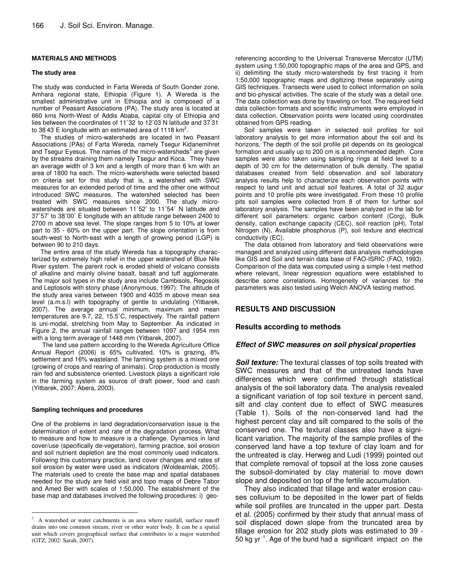#### **MATERIALS AND METHODS**

#### **The study area**

The study was conducted in Farta Wereda of South Gonder zone, Amhara regional state, Ethiopia (Figure 1). A Wereda is the smallest administrative unit in Ethiopia and is composed of a number of Peasant Associations (PA). The study area is located at 660 kms North-West of Addis Ababa, capital city of Ethiopia and lies between the coordinates of 11°32 to 12°03 N latitude and 3731 to 38<sup>'</sup>43<sup>'</sup> E longitude with an estimated area of 1118 km<sup>2</sup>.

The studies of micro-watersheds are located in two Peasant Associations (PAs) of Farta Wereda, namely Tsegur Kidanemihret and Tsegur Eyesus. The names of the micro-watersheds<sup>3</sup> are given by the streams draining them namely Tsegur and Koca. They have an average width of 3 km and a length of more than 6 km with an area of 1800 ha each. The micro-watersheds were selected based on criteria set for this study that is, a watershed with SWC measures for an extended period of time and the other one without introduced SWC measures. The watershed selected has been treated with SWC measures since 2000. The study microwatersheds are situated between 11˚52' to 11˚54` N latitude and 37˚57' to 38˚00` E longitude with an altitude range between 2400 to 2700 m above sea level. The slope ranges from 5 to 10% at lower part to 35 - 60% on the upper part. The slope orientation is from south-west to North-east with a length of growing period (LGP) is between 90 to 210 days.

The entire area of the study Wereda has a topography characterized by extremely high relief in the upper watershed of Blue Nile River system. The parent rock is eroded shield of volcano consists of alkaline and mainly olivine basalt, basalt and tuff agglomerate. The major soil types in the study area include Cambisols, Regosols and Leptosols with stony phase (Anonymous, 1997). The altitude of the study area varies between 1900 and 4035 m above mean sea level (a.m.s.l) with topography of gentle to undulating (Yitbarek, 2007). The average annual minimum, maximum and mean temperatures are 9.7, 22, 15.5˚C, respectively. The rainfall pattern is uni-modal, stretching from May to September. As indicated in Figure 2, the annual rainfall ranges between 1097 and 1954 mm with a long term average of 1448 mm (Yitbarek, 2007).

The land use pattern according to the Wereda Agriculture Office Annual Report (2006) is 65% cultivated, 10% is grazing, 8% settlement and 16% wasteland. The farming system is a mixed one (growing of crops and rearing of animals). Crop production is mostly rain fed and subsistence oriented. Livestock plays a significant role in the farming system as source of draft power, food and cash (Yitbarek, 2007; Abera, 2003).

#### **Sampling techniques and procedures**

One of the problems in land degradation/conservation issue is the determination of extent and rate of the degradation process. What to measure and how to measure is a challenge. Dynamics in land cover/use (specifically de-vegetation), farming practice, soil erosion and soil nutrient depletion are the most commonly used indicators. Following this customary practice, land cover changes and rates of soil erosion by water were used as indicators (Woldeamlak, 2005). The materials used to create the base map and spatial databases needed for the study are field visit and topo maps of Debre Tabor and Amed Ber with scales of 1:50,000. The establishment of the base map and databases involved the following procedures: i) geo-

referencing according to the Universal Transverse Mercator (UTM) system using 1:50,000 topographic maps of the area and GPS, and ii) delimiting the study micro-watersheds by first tracing it from 1:50,000 topographic maps and digitizing these separately using GIS techniques. Transects were used to collect information on soils and bio-physical activities. The scale of the study was a detail one. The data collection was done by traveling on foot. The required field data collection formats and scientific instruments were employed in data collection. Observation points were located using coordinates obtained from GPS reading.

Soil samples were taken in selected soil profiles for soil laboratory analysis to get more information about the soil and its horizons. The depth of the soil profile pit depends on its geological formation and usually up to 200 cm is a recommended depth. Core samples were also taken using sampling rings at field level to a depth of 30 cm for the determination of bulk density. The spatial databases created from field observation and soil laboratory analysis results help to characterize each observation points with respect to land unit and actual soil features. A total of 32 augur points and 10 profile pits were investigated. From these 10 profile pits soil samples were collected from 8 of them for further soil laboratory analysis. The samples have been analyzed in the lab for different soil parameters: organic carbon content (Corg), Bulk density, cation exchange capacity (CEC), soil reaction (pH), Total Nitrogen (N), Available phosphorus (P), soil texture and electrical conductivity (EC).

The data obtained from laboratory and field observations were managed and analyzed using different data analysis methodologies like GIS and Soil and terrain data base of FAO-ISRIC (FAO, 1993). Comparison of the data was computed using a simple t-test method where relevant, linear regression equations were established to describe some correlations. Homogeneity of variances for the parameters was also tested using Welch ANOVA testing method.

#### **RESULTS AND DISCUSSION**

#### **Results according to methods**

#### *Effect of SWC measures on soil physical properties*

*Soil texture:* The textural classes of top soils treated with SWC measures and that of the untreated lands have differences which were confirmed through statistical analysis of the soil laboratory data. The analysis revealed a significant variation of top soil texture in percent sand, silt and clay content due to effect of SWC measures (Table 1). Soils of the non-conserved land had the highest percent clay and silt compared to the soils of the conserved one. The textural classes also have a significant variation. The majority of the sample profiles of the conserved land have a top texture of clay loam and for the untreated is clay. Herweg and Ludi (1999) pointed out that complete removal of topsoil at the loss zone causes the subsoil-dominated by clay material to move down slope and deposited on top of the fertile accumulation.

They also indicated that tillage and water erosion causes colluvium to be deposited in the lower part of fields while soil profiles are truncated in the upper part. Desta et al. (2005) confirmed by their study that annual mass of soil displaced down slope from the truncated area by tillage erosion for 202 study plots was estimated to 39 - 50 kg yr<sup>-1</sup>. Age of the bund had a significant impact on the

<sup>&</sup>lt;sup>3</sup> A watershed or water catchments is an area where rainfall, surface runoff drains into one common stream, river or other water body. It can be a spatial unit which covers geographical surface that contributes to a major watershed (GTZ, 2002: Sarah, 2007).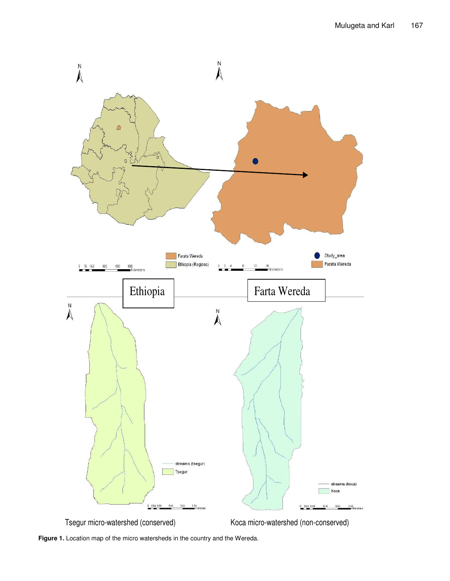



**Figure 1.** Location map of the micro watersheds in the country and the Wereda.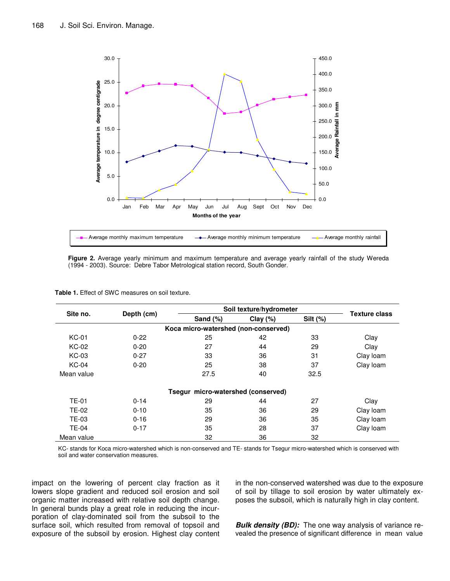

**Figure 2.** Average yearly minimum and maximum temperature and average yearly rainfall of the study Wereda (1994 - 2003). Source: Debre Tabor Metrological station record, South Gonder.

| Site no.     |            | Soil texture/hydrometer              |             |             | <b>Texture class</b> |
|--------------|------------|--------------------------------------|-------------|-------------|----------------------|
|              | Depth (cm) | Sand $(\%)$                          | Clay $(\%)$ | Silt $(\%)$ |                      |
|              |            | Koca micro-watershed (non-conserved) |             |             |                      |
| <b>KC-01</b> | $0 - 22$   | 25                                   | 42          | 33          | Clay                 |
| <b>KC-02</b> | $0 - 20$   | 27                                   | 44          | 29          | Clay                 |
| <b>KC-03</b> | $0 - 27$   | 33                                   | 36          | 31          | Clay loam            |
| <b>KC-04</b> | $0 - 20$   | 25                                   | 38          | 37          | Clay loam            |
| Mean value   |            | 27.5                                 | 40          | 32.5        |                      |
|              |            | Tsegur micro-watershed (conserved)   |             |             |                      |
| <b>TE-01</b> | $0 - 14$   | 29                                   | 44          | 27          | Clay                 |
| TE-02        | $0 - 10$   | 35                                   | 36          | 29          | Clay loam            |
| TE-03        | $0 - 16$   | 29                                   | 36          | 35          | Clay loam            |
| <b>TE-04</b> | $0 - 17$   | 35                                   | 28          | 37          | Clay loam            |
| Mean value   |            | 32                                   | 36          | 32          |                      |

KC- stands for Koca micro-watershed which is non-conserved and TE- stands for Tsegur micro-watershed which is conserved with soil and water conservation measures.

impact on the lowering of percent clay fraction as it lowers slope gradient and reduced soil erosion and soil organic matter increased with relative soil depth change. In general bunds play a great role in reducing the incurporation of clay-dominated soil from the subsoil to the surface soil, which resulted from removal of topsoil and exposure of the subsoil by erosion. Highest clay content in the non-conserved watershed was due to the exposure of soil by tillage to soil erosion by water ultimately exposes the subsoil, which is naturally high in clay content.

*Bulk density (BD):* The one way analysis of variance revealed the presence of significant difference in mean value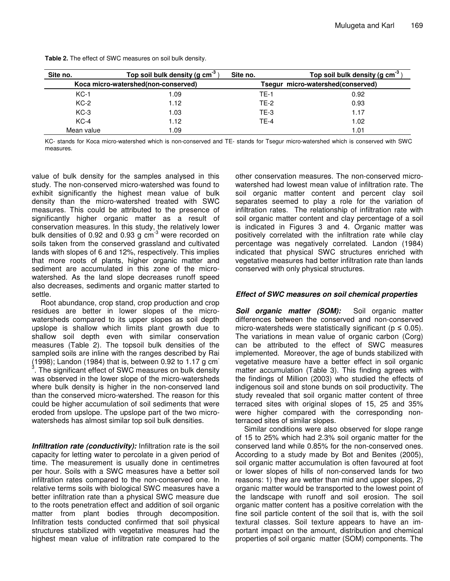| Site no.                            | Top soil bulk density (g $cm^{-3}$ ) | Site no.                          | Top soil bulk density (g $cm^{-3}$ ) |  |
|-------------------------------------|--------------------------------------|-----------------------------------|--------------------------------------|--|
| Koca micro-watershed(non-conserved) |                                      | Tsegur micro-watershed(conserved) |                                      |  |
| $KC-1$                              | 1.09                                 | <b>TE-1</b>                       | 0.92                                 |  |
| $KC-2$                              | 1.12                                 | <b>TE-2</b>                       | 0.93                                 |  |
| $KC-3$                              | 1.03                                 | $TE-3$                            | 1.17                                 |  |
| $KC-4$                              | 1.12                                 | TF-4                              | 1.02                                 |  |
| Mean value                          | 1.09                                 |                                   | 1.01                                 |  |

**Table 2.** The effect of SWC measures on soil bulk density.

KC- stands for Koca micro-watershed which is non-conserved and TE- stands for Tsegur micro-watershed which is conserved with SWC measures.

value of bulk density for the samples analysed in this study. The non-conserved micro-watershed was found to exhibit significantly the highest mean value of bulk density than the micro-watershed treated with SWC measures. This could be attributed to the presence of significantly higher organic matter as a result of conservation measures. In this study, the relatively lower bulk densities of 0.92 and 0.93 g cm<sup>-3</sup> were recorded on soils taken from the conserved grassland and cultivated lands with slopes of 6 and 12%, respectively. This implies that more roots of plants, higher organic matter and sediment are accumulated in this zone of the microwatershed. As the land slope decreases runoff speed also decreases, sediments and organic matter started to settle.

Root abundance, crop stand, crop production and crop residues are better in lower slopes of the microwatersheds compared to its upper slopes as soil depth upslope is shallow which limits plant growth due to shallow soil depth even with similar conservation measures (Table 2). The topsoil bulk densities of the sampled soils are inline with the ranges described by Rai (1998); Landon (1984) that is, between 0.92 to 1.17  $g$  cm<sup>-</sup>  $3$ . The significant effect of SWC measures on bulk density was observed in the lower slope of the micro-watersheds where bulk density is higher in the non-conserved land than the conserved micro-watershed. The reason for this could be higher accumulation of soil sediments that were eroded from upslope. The upslope part of the two microwatersheds has almost similar top soil bulk densities.

*Infiltration rate (conductivity):* Infiltration rate is the soil capacity for letting water to percolate in a given period of time. The measurement is usually done in centimetres per hour. Soils with a SWC measures have a better soil infiltration rates compared to the non-conserved one. In relative terms soils with biological SWC measures have a better infiltration rate than a physical SWC measure due to the roots penetration effect and addition of soil organic matter from plant bodies through decomposition. Infiltration tests conducted confirmed that soil physical structures stabilized with vegetative measures had the highest mean value of infiltration rate compared to the

other conservation measures. The non-conserved microwatershed had lowest mean value of infiltration rate. The soil organic matter content and percent clay soil separates seemed to play a role for the variation of infiltration rates. The relationship of infiltration rate with soil organic matter content and clay percentage of a soil is indicated in Figures 3 and 4. Organic matter was positively correlated with the infiltration rate while clay percentage was negatively correlated. Landon (1984) indicated that physical SWC structures enriched with vegetative measures had better infiltration rate than lands conserved with only physical structures.

## *Effect of SWC measures on soil chemical properties*

*Soil organic matter (SOM):* Soil organic matter differences between the conserved and non-conserved micro-watersheds were statistically significant ( $p \le 0.05$ ). The variations in mean value of organic carbon (Corg) can be attributed to the effect of SWC measures implemented. Moreover, the age of bunds stabilized with vegetative measure have a better effect in soil organic matter accumulation (Table 3). This finding agrees with the findings of Million (2003) who studied the effects of indigenous soil and stone bunds on soil productivity. The study revealed that soil organic matter content of three terraced sites with original slopes of 15, 25 and 35% were higher compared with the corresponding nonterraced sites of similar slopes.

Similar conditions were also observed for slope range of 15 to 25% which had 2.3% soil organic matter for the conserved land while 0.85% for the non-conserved ones. According to a study made by Bot and Benites (2005), soil organic matter accumulation is often favoured at foot or lower slopes of hills of non-conserved lands for two reasons: 1) they are wetter than mid and upper slopes, 2) organic matter would be transported to the lowest point of the landscape with runoff and soil erosion. The soil organic matter content has a positive correlation with the fine soil particle content of the soil that is, with the soil textural classes. Soil texture appears to have an important impact on the amount, distribution and chemical properties of soil organic matter (SOM) components. The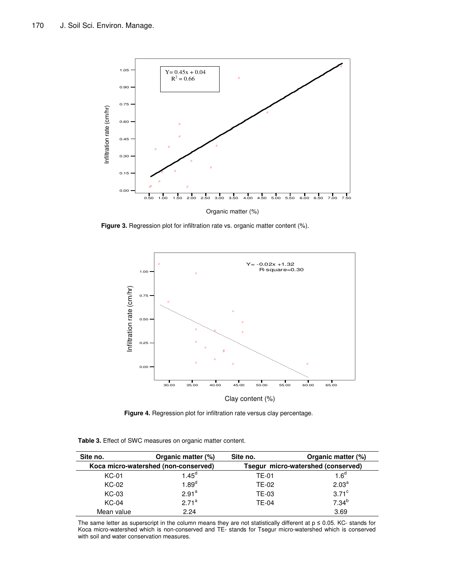

**Figure 3.** Regression plot for infiltration rate vs. organic matter content (%).



**Figure 4.** Regression plot for infiltration rate versus clay percentage.

| Table 3. Effect of SWC measures on organic matter content. |  |
|------------------------------------------------------------|--|
|------------------------------------------------------------|--|

| Site no.                             | Organic matter (%) | Site no.                           | Organic matter (%) |  |
|--------------------------------------|--------------------|------------------------------------|--------------------|--|
| Koca micro-watershed (non-conserved) |                    | Tsegur micro-watershed (conserved) |                    |  |
| <b>KC-01</b>                         | l. $45^{\circ}$    | TE-01                              | 1.6 <sup>d</sup>   |  |
| KC-02                                | $1.89^d$           | <b>TE-02</b>                       | 2.03 <sup>a</sup>  |  |
| KC-03                                | $2.91^a$           | TE-03                              | $3.71^\circ$       |  |
| KC-04                                | $2.71^a$           | TE-04                              | $7.34^{b}$         |  |
| Mean value                           | 2.24               |                                    | 3.69               |  |

The same letter as superscript in the column means they are not statistically different at  $p \le 0.05$ . KC- stands for Koca micro-watershed which is non-conserved and TE- stands for Tsegur micro-watershed which is conserved with soil and water conservation measures.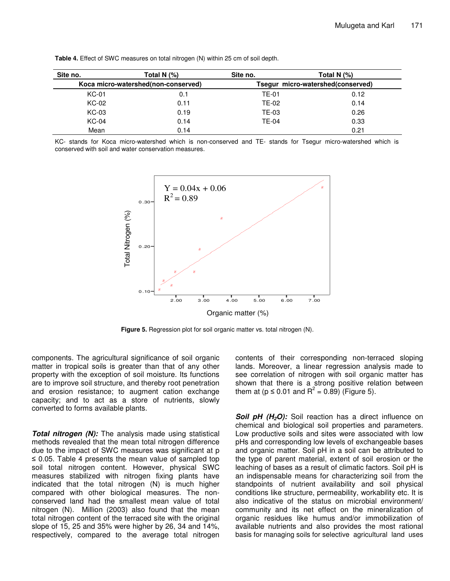| Site no.                            | Total N (%) | Site no. | Total N $(%)$                     |
|-------------------------------------|-------------|----------|-----------------------------------|
| Koca micro-watershed(non-conserved) |             |          | Tsegur micro-watershed(conserved) |
| <b>KC-01</b>                        | 0.1         | TE-01    | 0.12                              |
| <b>KC-02</b>                        | 0.11        | TE-02    | 0.14                              |
| KC-03                               | 0.19        | TE-03    | 0.26                              |
| <b>KC-04</b>                        | 0.14        | TE-04    | 0.33                              |
| Mean                                | 0.14        |          | 0.21                              |

**Table 4.** Effect of SWC measures on total nitrogen (N) within 25 cm of soil depth.

KC- stands for Koca micro-watershed which is non-conserved and TE- stands for Tsegur micro-watershed which is conserved with soil and water conservation measures.



**Figure 5.** Regression plot for soil organic matter vs. total nitrogen (N).

components. The agricultural significance of soil organic matter in tropical soils is greater than that of any other property with the exception of soil moisture. Its functions are to improve soil structure, and thereby root penetration and erosion resistance; to augment cation exchange capacity; and to act as a store of nutrients, slowly converted to forms available plants.

*Total nitrogen (N):* The analysis made using statistical methods revealed that the mean total nitrogen difference due to the impact of SWC measures was significant at p  $\leq$  0.05. Table 4 presents the mean value of sampled top soil total nitrogen content. However, physical SWC measures stabilized with nitrogen fixing plants have indicated that the total nitrogen (N) is much higher compared with other biological measures. The nonconserved land had the smallest mean value of total nitrogen (N). Million (2003) also found that the mean total nitrogen content of the terraced site with the original slope of 15, 25 and 35% were higher by 26, 34 and 14%, respectively, compared to the average total nitrogen

contents of their corresponding non-terraced sloping lands. Moreover, a linear regression analysis made to see correlation of nitrogen with soil organic matter has shown that there is a strong positive relation between them at ( $p \le 0.01$  and  $R^2 = 0.89$ ) (Figure 5).

*Soil pH (H2O):* Soil reaction has a direct influence on chemical and biological soil properties and parameters. Low productive soils and sites were associated with low pHs and corresponding low levels of exchangeable bases and organic matter. Soil pH in a soil can be attributed to the type of parent material, extent of soil erosion or the leaching of bases as a result of climatic factors. Soil pH is an indispensable means for characterizing soil from the standpoints of nutrient availability and soil physical conditions like structure, permeability, workability etc. It is also indicative of the status on microbial environment/ community and its net effect on the mineralization of organic residues like humus and/or immobilization of available nutrients and also provides the most rational basis for managing soils for selective agricultural land uses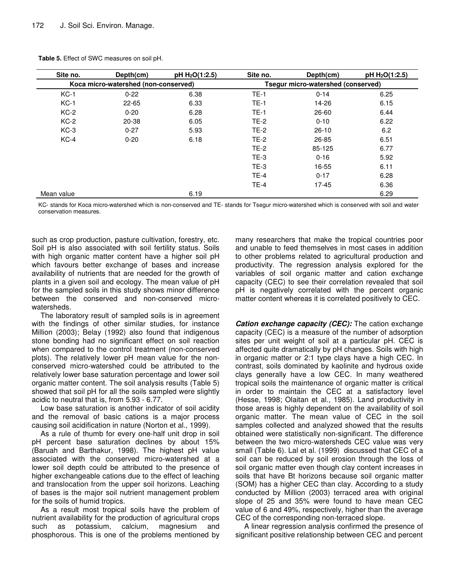| Site no.   | Depth(cm)                            | pH H <sub>2</sub> O(1:2.5) | Site no.                           | Depth(cm) | pH H <sub>2</sub> O(1:2.5) |
|------------|--------------------------------------|----------------------------|------------------------------------|-----------|----------------------------|
|            | Koca micro-watershed (non-conserved) |                            | Tsegur micro-watershed (conserved) |           |                            |
| $KC-1$     | $0 - 22$                             | 6.38                       | $TE-1$                             | $0 - 14$  | 6.25                       |
| $KC-1$     | $22 - 65$                            | 6.33                       | $TE-1$                             | 14-26     | 6.15                       |
| $KC-2$     | $0 - 20$                             | 6.28                       | $TE-1$                             | 26-60     | 6.44                       |
| $KC-2$     | 20-38                                | 6.05                       | <b>TE-2</b>                        | $0 - 10$  | 6.22                       |
| $KC-3$     | $0 - 27$                             | 5.93                       | $TE-2$                             | $26-10$   | 6.2                        |
| $KC-4$     | $0 - 20$                             | 6.18                       | $TE-2$                             | 26-85     | 6.51                       |
|            |                                      |                            | $TE-2$                             | 85-125    | 6.77                       |
|            |                                      |                            | $TE-3$                             | $0 - 16$  | 5.92                       |
|            |                                      |                            | $TE-3$                             | 16-55     | 6.11                       |
|            |                                      |                            | $TE-4$                             | $0 - 17$  | 6.28                       |
|            |                                      |                            | $TE-4$                             | $17 - 45$ | 6.36                       |
| Mean value |                                      | 6.19                       |                                    |           | 6.29                       |

**Table 5.** Effect of SWC measures on soil pH.

KC- stands for Koca micro-watershed which is non-conserved and TE- stands for Tsegur micro-watershed which is conserved with soil and water conservation measures.

such as crop production, pasture cultivation, forestry, etc. Soil pH is also associated with soil fertility status. Soils with high organic matter content have a higher soil pH which favours better exchange of bases and increase availability of nutrients that are needed for the growth of plants in a given soil and ecology. The mean value of pH for the sampled soils in this study shows minor difference between the conserved and non-conserved microwatersheds.

The laboratory result of sampled soils is in agreement with the findings of other similar studies, for instance Million (2003); Belay (1992) also found that indigenous stone bonding had no significant effect on soil reaction when compared to the control treatment (non-conserved plots). The relatively lower pH mean value for the nonconserved micro-watershed could be attributed to the relatively lower base saturation percentage and lower soil organic matter content. The soil analysis results (Table 5) showed that soil pH for all the soils sampled were slightly acidic to neutral that is, from 5.93 - 6.77.

Low base saturation is another indicator of soil acidity and the removal of basic cations is a major process causing soil acidification in nature (Norton et al., 1999).

As a rule of thumb for every one-half unit drop in soil pH percent base saturation declines by about 15% (Baruah and Barthakur, 1998). The highest pH value associated with the conserved micro-watershed at a lower soil depth could be attributed to the presence of higher exchangeable cations due to the effect of leaching and translocation from the upper soil horizons. Leaching of bases is the major soil nutrient management problem for the soils of humid tropics.

As a result most tropical soils have the problem of nutrient availability for the production of agricultural crops such as potassium, calcium, magnesium and phosphorous. This is one of the problems mentioned by

many researchers that make the tropical countries poor and unable to feed themselves in most cases in addition to other problems related to agricultural production and productivity. The regression analysis explored for the variables of soil organic matter and cation exchange capacity (CEC) to see their correlation revealed that soil pH is negatively correlated with the percent organic matter content whereas it is correlated positively to CEC.

*Cation exchange capacity (CEC):* The cation exchange capacity (CEC) is a measure of the number of adsorption sites per unit weight of soil at a particular pH. CEC is affected quite dramatically by pH changes. Soils with high in organic matter or 2:1 type clays have a high CEC. In contrast, soils dominated by kaolinite and hydrous oxide clays generally have a low CEC. In many weathered tropical soils the maintenance of organic matter is critical in order to maintain the CEC at a satisfactory level (Hesse, 1998; Olaitan et al., 1985). Land productivity in those areas is highly dependent on the availability of soil organic matter. The mean value of CEC in the soil samples collected and analyzed showed that the results obtained were statistically non-significant. The difference between the two micro-watersheds CEC value was very small (Table 6). Lal et al. (1999) discussed that CEC of a soil can be reduced by soil erosion through the loss of soil organic matter even though clay content increases in soils that have Bt horizons because soil organic matter (SOM) has a higher CEC than clay. According to a study conducted by Million (2003) terraced area with original slope of 25 and 35% were found to have mean CEC value of 6 and 49%, respectively, higher than the average CEC of the corresponding non-terraced slope.

A linear regression analysis confirmed the presence of significant positive relationship between CEC and percent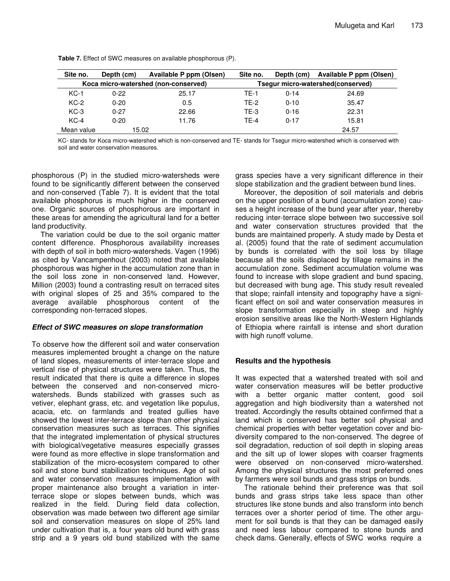| Site no.                             | Depth (cm) | Available P ppm (Olsen) | Site no.    | Depth (cm) | Available P ppm (Olsen)           |
|--------------------------------------|------------|-------------------------|-------------|------------|-----------------------------------|
| Koca micro-watershed (non-conserved) |            |                         |             |            | Tsegur micro-watershed(conserved) |
| $KC-1$                               | $0 - 22$   | 25.17                   | <b>TE-1</b> | $0 - 14$   | 24.69                             |
| $KC-2$                               | $0 - 20$   | 0.5                     | TF-2        | $0 - 10$   | 35.47                             |
| $KC-3$                               | $0 - 27$   | 22.66                   | $TE-3$      | $0 - 16$   | 22.31                             |
| $KC-4$                               | $0 - 20$   | 11.76                   | <b>TE-4</b> | $0 - 17$   | 15.81                             |
| Mean value                           | 15.02      |                         |             |            | 24.57                             |

**Table 7.** Effect of SWC measures on available phosphorous (P).

KC- stands for Koca micro-watershed which is non-conserved and TE- stands for Tsegur micro-watershed which is conserved with soil and water conservation measures.

phosphorous (P) in the studied micro-watersheds were found to be significantly different between the conserved and non-conserved (Table 7). It is evident that the total available phosphorus is much higher in the conserved one. Organic sources of phosphorous are important in these areas for amending the agricultural land for a better land productivity.

The variation could be due to the soil organic matter content difference. Phosphorous availability increases with depth of soil in both micro-watersheds. Vagen (1996) as cited by Vancampenhout (2003) noted that available phosphorous was higher in the accumulation zone than in the soil loss zone in non-conserved land. However, Million (2003) found a contrasting result on terraced sites with original slopes of 25 and 35% compared to the average available phosphorous content of the corresponding non-terraced slopes.

## *Effect of SWC measures on slope transformation*

To observe how the different soil and water conservation measures implemented brought a change on the nature of land slopes, measurements of inter-terrace slope and vertical rise of physical structures were taken. Thus, the result indicated that there is quite a difference in slopes between the conserved and non-conserved microwatersheds. Bunds stabilized with grasses such as vetiver, elephant grass, etc. and vegetation like populus, acacia, etc. on farmlands and treated gullies have showed the lowest inter-terrace slope than other physical conservation measures such as terraces. This signifies that the integrated implementation of physical structures with biological/vegetative measures especially grasses were found as more effective in slope transformation and stabilization of the micro-ecosystem compared to other soil and stone bund stabilization techniques. Age of soil and water conservation measures implementation with proper maintenance also brought a variation in interterrace slope or slopes between bunds, which was realized in the field. During field data collection, observation was made between two different age similar soil and conservation measures on slope of 25% land under cultivation that is, a four years old bund with grass strip and a 9 years old bund stabilized with the same

grass species have a very significant difference in their slope stabilization and the gradient between bund lines.

Moreover, the deposition of soil materials and debris on the upper position of a bund (accumulation zone) causes a height increase of the bund year after year, thereby reducing inter-terrace slope between two successive soil and water conservation structures provided that the bunds are maintained properly. A study made by Desta et al. (2005) found that the rate of sediment accumulation by bunds is correlated with the soil loss by tillage because all the soils displaced by tillage remains in the accumulation zone. Sediment accumulation volume was found to increase with slope gradient and bund spacing, but decreased with bung age. This study result revealed that slope; rainfall intensity and topography have a significant effect on soil and water conservation measures in slope transformation especially in steep and highly erosion sensitive areas like the North-Western Highlands of Ethiopia where rainfall is intense and short duration with high runoff volume.

## **Results and the hypothesis**

It was expected that a watershed treated with soil and water conservation measures will be better productive with a better organic matter content, good soil aggregation and high biodiversity than a watershed not treated. Accordingly the results obtained confirmed that a land which is conserved has better soil physical and chemical properties with better vegetation cover and biodiversity compared to the non-conserved. The degree of soil degradation, reduction of soil depth in sloping areas and the silt up of lower slopes with coarser fragments were observed on non-conserved micro-watershed. Among the physical structures the most preferred ones by farmers were soil bunds and grass strips on bunds.

The rationale behind their preference was that soil bunds and grass strips take less space than other structures like stone bunds and also transform into bench terraces over a shorter period of time. The other argument for soil bunds is that they can be damaged easily and need less labour compared to stone bunds and check dams. Generally, effects of SWC works require a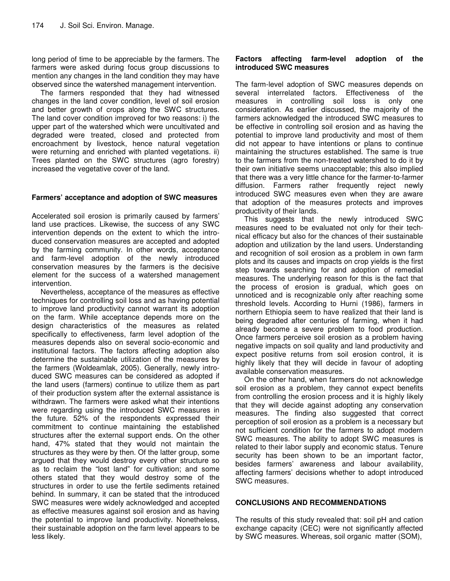long period of time to be appreciable by the farmers. The farmers were asked during focus group discussions to mention any changes in the land condition they may have observed since the watershed management intervention.

The farmers responded that they had witnessed changes in the land cover condition, level of soil erosion and better growth of crops along the SWC structures. The land cover condition improved for two reasons: i) the upper part of the watershed which were uncultivated and degraded were treated, closed and protected from encroachment by livestock, hence natural vegetation were returning and enriched with planted vegetations. ii) Trees planted on the SWC structures (agro forestry) increased the vegetative cover of the land.

## **Farmers' acceptance and adoption of SWC measures**

Accelerated soil erosion is primarily caused by farmers' land use practices. Likewise, the success of any SWC intervention depends on the extent to which the introduced conservation measures are accepted and adopted by the farming community. In other words, acceptance and farm-level adoption of the newly introduced conservation measures by the farmers is the decisive element for the success of a watershed management intervention.

Nevertheless, acceptance of the measures as effective techniques for controlling soil loss and as having potential to improve land productivity cannot warrant its adoption on the farm. While acceptance depends more on the design characteristics of the measures as related specifically to effectiveness, farm level adoption of the measures depends also on several socio-economic and institutional factors. The factors affecting adoption also determine the sustainable utilization of the measures by the farmers (Woldeamlak, 2005). Generally, newly introduced SWC measures can be considered as adopted if the land users (farmers) continue to utilize them as part of their production system after the external assistance is withdrawn. The farmers were asked what their intentions were regarding using the introduced SWC measures in the future. 52% of the respondents expressed their commitment to continue maintaining the established structures after the external support ends. On the other hand, 47% stated that they would not maintain the structures as they were by then. Of the latter group, some argued that they would destroy every other structure so as to reclaim the "lost land" for cultivation; and some others stated that they would destroy some of the structures in order to use the fertile sediments retained behind. In summary, it can be stated that the introduced SWC measures were widely acknowledged and accepted as effective measures against soil erosion and as having the potential to improve land productivity. Nonetheless, their sustainable adoption on the farm level appears to be less likely.

## **Factors affecting farm-level adoption of the introduced SWC measures**

The farm-level adoption of SWC measures depends on several interrelated factors. Effectiveness of the measures in controlling soil loss is only one consideration. As earlier discussed, the majority of the farmers acknowledged the introduced SWC measures to be effective in controlling soil erosion and as having the potential to improve land productivity and most of them did not appear to have intentions or plans to continue maintaining the structures established. The same is true to the farmers from the non-treated watershed to do it by their own initiative seems unacceptable; this also implied that there was a very little chance for the farmer-to-farmer diffusion. Farmers rather frequently reject newly introduced SWC measures even when they are aware that adoption of the measures protects and improves productivity of their lands.

This suggests that the newly introduced SWC measures need to be evaluated not only for their technical efficacy but also for the chances of their sustainable adoption and utilization by the land users. Understanding and recognition of soil erosion as a problem in own farm plots and its causes and impacts on crop yields is the first step towards searching for and adoption of remedial measures. The underlying reason for this is the fact that the process of erosion is gradual, which goes on unnoticed and is recognizable only after reaching some threshold levels. According to Hurni (1986), farmers in northern Ethiopia seem to have realized that their land is being degraded after centuries of farming, when it had already become a severe problem to food production. Once farmers perceive soil erosion as a problem having negative impacts on soil quality and land productivity and expect positive returns from soil erosion control, it is highly likely that they will decide in favour of adopting available conservation measures.

On the other hand, when farmers do not acknowledge soil erosion as a problem, they cannot expect benefits from controlling the erosion process and it is highly likely that they will decide against adopting any conservation measures. The finding also suggested that correct perception of soil erosion as a problem is a necessary but not sufficient condition for the farmers to adopt modern SWC measures. The ability to adopt SWC measures is related to their labor supply and economic status. Tenure security has been shown to be an important factor, besides farmers' awareness and labour availability, affecting farmers' decisions whether to adopt introduced SWC measures.

## **CONCLUSIONS AND RECOMMENDATIONS**

The results of this study revealed that: soil pH and cation exchange capacity (CEC) were not significantly affected by SWC measures. Whereas, soil organic matter (SOM),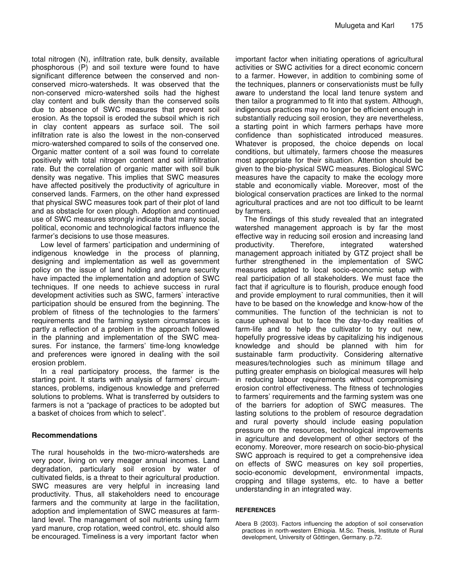total nitrogen (N), infiltration rate, bulk density, available phosphorous (P) and soil texture were found to have significant difference between the conserved and nonconserved micro-watersheds. It was observed that the non-conserved micro-watershed soils had the highest clay content and bulk density than the conserved soils due to absence of SWC measures that prevent soil erosion. As the topsoil is eroded the subsoil which is rich in clay content appears as surface soil. The soil infiltration rate is also the lowest in the non-conserved micro-watershed compared to soils of the conserved one. Organic matter content of a soil was found to correlate positively with total nitrogen content and soil infiltration rate. But the correlation of organic matter with soil bulk density was negative. This implies that SWC measures have affected positively the productivity of agriculture in conserved lands. Farmers, on the other hand expressed that physical SWC measures took part of their plot of land and as obstacle for oxen plough. Adoption and continued use of SWC measures strongly indicate that many social, political, economic and technological factors influence the farmer's decisions to use those measures.

Low level of farmers' participation and undermining of indigenous knowledge in the process of planning, designing and implementation as well as government policy on the issue of land holding and tenure security have impacted the implementation and adoption of SWC techniques. If one needs to achieve success in rural development activities such as SWC, farmers` interactive participation should be ensured from the beginning. The problem of fitness of the technologies to the farmers' requirements and the farming system circumstances is partly a reflection of a problem in the approach followed in the planning and implementation of the SWC measures. For instance, the farmers' time-long knowledge and preferences were ignored in dealing with the soil erosion problem.

In a real participatory process, the farmer is the starting point. It starts with analysis of farmers' circumstances, problems, indigenous knowledge and preferred solutions to problems. What is transferred by outsiders to farmers is not a "package of practices to be adopted but a basket of choices from which to select".

## **Recommendations**

The rural households in the two-micro-watersheds are very poor, living on very meager annual incomes. Land degradation, particularly soil erosion by water of cultivated fields, is a threat to their agricultural production. SWC measures are very helpful in increasing land productivity. Thus, all stakeholders need to encourage farmers and the community at large in the facilitation, adoption and implementation of SWC measures at farmland level. The management of soil nutrients using farm yard manure, crop rotation, weed control, etc. should also be encouraged. Timeliness is a very important factor when

important factor when initiating operations of agricultural activities or SWC activities for a direct economic concern to a farmer. However, in addition to combining some of the techniques, planners or conservationists must be fully aware to understand the local land tenure system and then tailor a programmed to fit into that system. Although, indigenous practices may no longer be efficient enough in substantially reducing soil erosion, they are nevertheless, a starting point in which farmers perhaps have more confidence than sophisticated introduced measures. Whatever is proposed, the choice depends on local conditions, but ultimately, farmers choose the measures most appropriate for their situation. Attention should be given to the bio-physical SWC measures. Biological SWC measures have the capacity to make the ecology more stable and economically viable. Moreover, most of the biological conservation practices are linked to the normal agricultural practices and are not too difficult to be learnt by farmers.

The findings of this study revealed that an integrated watershed management approach is by far the most effective way in reducing soil erosion and increasing land productivity. Therefore, integrated watershed management approach initiated by GTZ project shall be further strengthened in the implementation of SWC measures adapted to local socio-economic setup with real participation of all stakeholders. We must face the fact that if agriculture is to flourish, produce enough food and provide employment to rural communities, then it will have to be based on the knowledge and know-how of the communities. The function of the technician is not to cause upheaval but to face the day-to-day realities of farm-life and to help the cultivator to try out new, hopefully progressive ideas by capitalizing his indigenous knowledge and should be planned with him for sustainable farm productivity. Considering alternative measures/technologies such as minimum tillage and putting greater emphasis on biological measures will help in reducing labour requirements without compromising erosion control effectiveness. The fitness of technologies to farmers' requirements and the farming system was one of the barriers for adoption of SWC measures. The lasting solutions to the problem of resource degradation and rural poverty should include easing population pressure on the resources, technological improvements in agriculture and development of other sectors of the economy. Moreover, more research on socio-bio-physical SWC approach is required to get a comprehensive idea on effects of SWC measures on key soil properties, socio-economic development, environmental impacts, cropping and tillage systems, etc. to have a better understanding in an integrated way.

#### **REFERENCES**

Abera B (2003). Factors influencing the adoption of soil conservation practices in north-western Ethiopia. M.Sc. Thesis, Institute of Rural development, University of Göttingen, Germany. p.72.